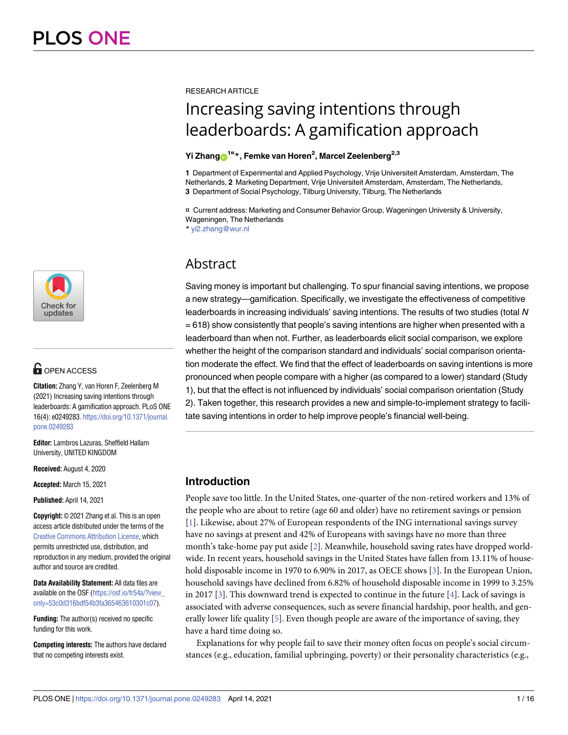

# $\blacksquare$  OPEN ACCESS

**Citation:** Zhang Y, van Horen F, Zeelenberg M (2021) Increasing saving intentions through leaderboards: A gamification approach. PLoS ONE 16(4): e0249283. [https://doi.org/10.1371/journal.](https://doi.org/10.1371/journal.pone.0249283) [pone.0249283](https://doi.org/10.1371/journal.pone.0249283)

**Editor:** Lambros Lazuras, Sheffield Hallam University, UNITED KINGDOM

**Received:** August 4, 2020

**Accepted:** March 15, 2021

**Published:** April 14, 2021

**Copyright:** © 2021 Zhang et al. This is an open access article distributed under the terms of the Creative Commons [Attribution](http://creativecommons.org/licenses/by/4.0/) License, which permits unrestricted use, distribution, and reproduction in any medium, provided the original author and source are credited.

**Data Availability Statement:** All data files are available on the OSF [\(https://osf.io/fr54a/?view\\_](https://osf.io/fr54a/?view_only=53c0d316bdf54b3fa365463610301c07) [only=53c0d316bdf54b3fa365463610301c07\)](https://osf.io/fr54a/?view_only=53c0d316bdf54b3fa365463610301c07).

**Funding:** The author(s) received no specific funding for this work.

**Competing interests:** The authors have declared that no competing interests exist.

#### <span id="page-0-0"></span>RESEARCH ARTICLE

# Increasing saving intentions through leaderboards: A gamification approach

# $Y$ i Zhang $\textbf{O}^{1\texttt{u}}$ \*, Femke van Horen<sup>2</sup>, Marcel Zeelenberg<sup>2,3</sup>

**1** Department of Experimental and Applied Psychology, Vrije Universiteit Amsterdam, Amsterdam, The Netherlands, **2** Marketing Department, Vrije Universiteit Amsterdam, Amsterdam, The Netherlands, **3** Department of Social Psychology, Tilburg University, Tilburg, The Netherlands

¤ Current address: Marketing and Consumer Behavior Group, Wageningen University & University, Wageningen, The Netherlands \* yi2.zhang@wur.nl

# Abstract

Saving money is important but challenging. To spur financial saving intentions, we propose a new strategy—gamification. Specifically, we investigate the effectiveness of competitive leaderboards in increasing individuals' saving intentions. The results of two studies (total N = 618) show consistently that people's saving intentions are higher when presented with a leaderboard than when not. Further, as leaderboards elicit social comparison, we explore whether the height of the comparison standard and individuals' social comparison orientation moderate the effect. We find that the effect of leaderboards on saving intentions is more pronounced when people compare with a higher (as compared to a lower) standard (Study 1), but that the effect is not influenced by individuals' social comparison orientation (Study 2). Taken together, this research provides a new and simple-to-implement strategy to facilitate saving intentions in order to help improve people's financial well-being.

# **Introduction**

People save too little. In the United States, one-quarter of the non-retired workers and 13% of the people who are about to retire (age 60 and older) have no retirement savings or pension [\[1](#page-13-0)]. Likewise, about 27% of European respondents of the ING international savings survey have no savings at present and 42% of Europeans with savings have no more than three month's take-home pay put aside [[2](#page-13-0)]. Meanwhile, household saving rates have dropped worldwide. In recent years, household savings in the United States have fallen from 13.11% of house-hold disposable income in 1970 to 6.90% in 2017, as OECE shows [[3\]](#page-13-0). In the European Union, household savings have declined from 6.82% of household disposable income in 1999 to 3.25% in 2017 [\[3\]](#page-13-0). This downward trend is expected to continue in the future [\[4\]](#page-13-0). Lack of savings is associated with adverse consequences, such as severe financial hardship, poor health, and generally lower life quality [[5\]](#page-13-0). Even though people are aware of the importance of saving, they have a hard time doing so.

Explanations for why people fail to save their money often focus on people's social circumstances (e.g., education, familial upbringing, poverty) or their personality characteristics (e.g.,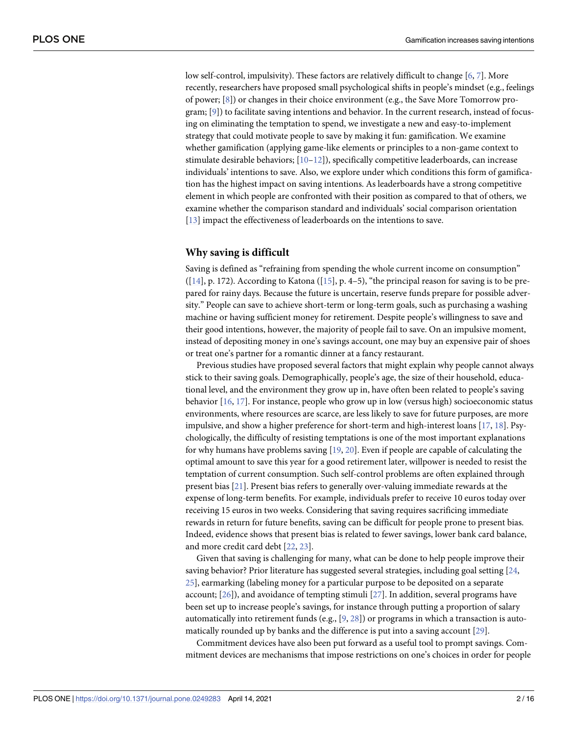<span id="page-1-0"></span>low self-control, impulsivity). These factors are relatively difficult to change [[6](#page-13-0), [7\]](#page-13-0). More recently, researchers have proposed small psychological shifts in people's mindset (e.g., feelings of power; [\[8\]](#page-13-0)) or changes in their choice environment (e.g., the Save More Tomorrow program; [[9](#page-13-0)]) to facilitate saving intentions and behavior. In the current research, instead of focusing on eliminating the temptation to spend, we investigate a new and easy-to-implement strategy that could motivate people to save by making it fun: gamification. We examine whether gamification (applying game-like elements or principles to a non-game context to stimulate desirable behaviors; [\[10–](#page-13-0)[12](#page-14-0)]), specifically competitive leaderboards, can increase individuals' intentions to save. Also, we explore under which conditions this form of gamification has the highest impact on saving intentions. As leaderboards have a strong competitive element in which people are confronted with their position as compared to that of others, we examine whether the comparison standard and individuals' social comparison orientation [\[13\]](#page-14-0) impact the effectiveness of leaderboards on the intentions to save.

#### **Why saving is difficult**

Saving is defined as "refraining from spending the whole current income on consumption"  $([14], p. 172)$  $([14], p. 172)$  $([14], p. 172)$ . According to Katona  $([15], p. 4-5)$  $([15], p. 4-5)$  $([15], p. 4-5)$ , "the principal reason for saving is to be prepared for rainy days. Because the future is uncertain, reserve funds prepare for possible adversity." People can save to achieve short-term or long-term goals, such as purchasing a washing machine or having sufficient money for retirement. Despite people's willingness to save and their good intentions, however, the majority of people fail to save. On an impulsive moment, instead of depositing money in one's savings account, one may buy an expensive pair of shoes or treat one's partner for a romantic dinner at a fancy restaurant.

Previous studies have proposed several factors that might explain why people cannot always stick to their saving goals. Demographically, people's age, the size of their household, educational level, and the environment they grow up in, have often been related to people's saving behavior  $[16, 17]$  $[16, 17]$  $[16, 17]$  $[16, 17]$ . For instance, people who grow up in low (versus high) socioeconomic status environments, where resources are scarce, are less likely to save for future purposes, are more impulsive, and show a higher preference for short-term and high-interest loans [\[17,](#page-14-0) [18\]](#page-14-0). Psychologically, the difficulty of resisting temptations is one of the most important explanations for why humans have problems saving [\[19,](#page-14-0) [20\]](#page-14-0). Even if people are capable of calculating the optimal amount to save this year for a good retirement later, willpower is needed to resist the temptation of current consumption. Such self-control problems are often explained through present bias [[21](#page-14-0)]. Present bias refers to generally over-valuing immediate rewards at the expense of long-term benefits. For example, individuals prefer to receive 10 euros today over receiving 15 euros in two weeks. Considering that saving requires sacrificing immediate rewards in return for future benefits, saving can be difficult for people prone to present bias. Indeed, evidence shows that present bias is related to fewer savings, lower bank card balance, and more credit card debt [\[22,](#page-14-0) [23](#page-14-0)].

Given that saving is challenging for many, what can be done to help people improve their saving behavior? Prior literature has suggested several strategies, including goal setting [\[24,](#page-14-0) [25\]](#page-14-0), earmarking (labeling money for a particular purpose to be deposited on a separate account; [\[26\]](#page-14-0)), and avoidance of tempting stimuli [\[27\]](#page-14-0). In addition, several programs have been set up to increase people's savings, for instance through putting a proportion of salary automatically into retirement funds (e.g.,  $[9, 28]$  $[9, 28]$  $[9, 28]$  $[9, 28]$  $[9, 28]$ ) or programs in which a transaction is automatically rounded up by banks and the difference is put into a saving account [[29](#page-14-0)].

Commitment devices have also been put forward as a useful tool to prompt savings. Commitment devices are mechanisms that impose restrictions on one's choices in order for people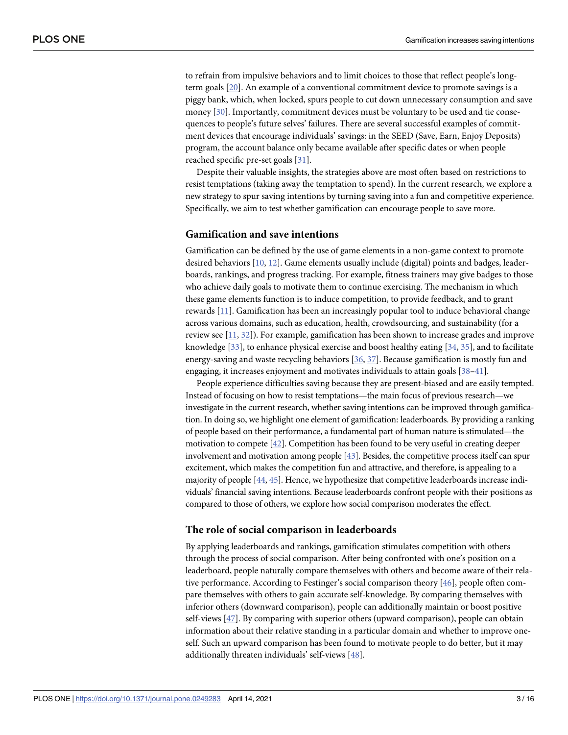<span id="page-2-0"></span>to refrain from impulsive behaviors and to limit choices to those that reflect people's longterm goals [\[20\]](#page-14-0). An example of a conventional commitment device to promote savings is a piggy bank, which, when locked, spurs people to cut down unnecessary consumption and save money [\[30\]](#page-14-0). Importantly, commitment devices must be voluntary to be used and tie consequences to people's future selves' failures. There are several successful examples of commitment devices that encourage individuals' savings: in the SEED (Save, Earn, Enjoy Deposits) program, the account balance only became available after specific dates or when people reached specific pre-set goals [[31](#page-14-0)].

Despite their valuable insights, the strategies above are most often based on restrictions to resist temptations (taking away the temptation to spend). In the current research, we explore a new strategy to spur saving intentions by turning saving into a fun and competitive experience. Specifically, we aim to test whether gamification can encourage people to save more.

#### **Gamification and save intentions**

Gamification can be defined by the use of game elements in a non-game context to promote desired behaviors [\[10,](#page-13-0) [12\]](#page-14-0). Game elements usually include (digital) points and badges, leaderboards, rankings, and progress tracking. For example, fitness trainers may give badges to those who achieve daily goals to motivate them to continue exercising. The mechanism in which these game elements function is to induce competition, to provide feedback, and to grant rewards [\[11\]](#page-13-0). Gamification has been an increasingly popular tool to induce behavioral change across various domains, such as education, health, crowdsourcing, and sustainability (for a review see [\[11,](#page-13-0) [32\]](#page-14-0)). For example, gamification has been shown to increase grades and improve knowledge [[33](#page-14-0)], to enhance physical exercise and boost healthy eating [[34](#page-14-0), [35](#page-14-0)], and to facilitate energy-saving and waste recycling behaviors [[36](#page-14-0), [37](#page-14-0)]. Because gamification is mostly fun and engaging, it increases enjoyment and motivates individuals to attain goals [\[38](#page-14-0)[–41\]](#page-15-0).

People experience difficulties saving because they are present-biased and are easily tempted. Instead of focusing on how to resist temptations—the main focus of previous research—we investigate in the current research, whether saving intentions can be improved through gamification. In doing so, we highlight one element of gamification: leaderboards. By providing a ranking of people based on their performance, a fundamental part of human nature is stimulated—the motivation to compete [\[42\]](#page-15-0). Competition has been found to be very useful in creating deeper involvement and motivation among people [\[43](#page-15-0)]. Besides, the competitive process itself can spur excitement, which makes the competition fun and attractive, and therefore, is appealing to a majority of people [[44,](#page-15-0) [45\]](#page-15-0). Hence, we hypothesize that competitive leaderboards increase individuals' financial saving intentions. Because leaderboards confront people with their positions as compared to those of others, we explore how social comparison moderates the effect.

#### **The role of social comparison in leaderboards**

By applying leaderboards and rankings, gamification stimulates competition with others through the process of social comparison. After being confronted with one's position on a leaderboard, people naturally compare themselves with others and become aware of their relative performance. According to Festinger's social comparison theory [[46](#page-15-0)], people often compare themselves with others to gain accurate self-knowledge. By comparing themselves with inferior others (downward comparison), people can additionally maintain or boost positive self-views [\[47\]](#page-15-0). By comparing with superior others (upward comparison), people can obtain information about their relative standing in a particular domain and whether to improve oneself. Such an upward comparison has been found to motivate people to do better, but it may additionally threaten individuals' self-views [\[48\]](#page-15-0).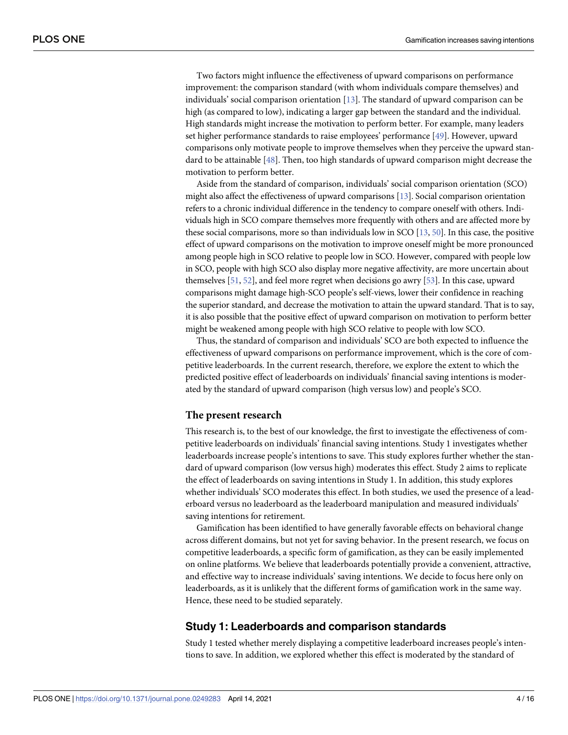<span id="page-3-0"></span>Two factors might influence the effectiveness of upward comparisons on performance improvement: the comparison standard (with whom individuals compare themselves) and individuals' social comparison orientation [\[13\]](#page-14-0). The standard of upward comparison can be high (as compared to low), indicating a larger gap between the standard and the individual. High standards might increase the motivation to perform better. For example, many leaders set higher performance standards to raise employees' performance [\[49\]](#page-15-0). However, upward comparisons only motivate people to improve themselves when they perceive the upward standard to be attainable [\[48\]](#page-15-0). Then, too high standards of upward comparison might decrease the motivation to perform better.

Aside from the standard of comparison, individuals' social comparison orientation (SCO) might also affect the effectiveness of upward comparisons [[13](#page-14-0)]. Social comparison orientation refers to a chronic individual difference in the tendency to compare oneself with others. Individuals high in SCO compare themselves more frequently with others and are affected more by these social comparisons, more so than individuals low in SCO [\[13](#page-14-0), [50](#page-15-0)]. In this case, the positive effect of upward comparisons on the motivation to improve oneself might be more pronounced among people high in SCO relative to people low in SCO. However, compared with people low in SCO, people with high SCO also display more negative affectivity, are more uncertain about themselves [\[51,](#page-15-0) [52\]](#page-15-0), and feel more regret when decisions go awry [[53\]](#page-15-0). In this case, upward comparisons might damage high-SCO people's self-views, lower their confidence in reaching the superior standard, and decrease the motivation to attain the upward standard. That is to say, it is also possible that the positive effect of upward comparison on motivation to perform better might be weakened among people with high SCO relative to people with low SCO.

Thus, the standard of comparison and individuals' SCO are both expected to influence the effectiveness of upward comparisons on performance improvement, which is the core of competitive leaderboards. In the current research, therefore, we explore the extent to which the predicted positive effect of leaderboards on individuals' financial saving intentions is moderated by the standard of upward comparison (high versus low) and people's SCO.

#### **The present research**

This research is, to the best of our knowledge, the first to investigate the effectiveness of competitive leaderboards on individuals' financial saving intentions. Study 1 investigates whether leaderboards increase people's intentions to save. This study explores further whether the standard of upward comparison (low versus high) moderates this effect. Study 2 aims to replicate the effect of leaderboards on saving intentions in Study 1. In addition, this study explores whether individuals' SCO moderates this effect. In both studies, we used the presence of a leaderboard versus no leaderboard as the leaderboard manipulation and measured individuals' saving intentions for retirement.

Gamification has been identified to have generally favorable effects on behavioral change across different domains, but not yet for saving behavior. In the present research, we focus on competitive leaderboards, a specific form of gamification, as they can be easily implemented on online platforms. We believe that leaderboards potentially provide a convenient, attractive, and effective way to increase individuals' saving intentions. We decide to focus here only on leaderboards, as it is unlikely that the different forms of gamification work in the same way. Hence, these need to be studied separately.

#### **Study 1: Leaderboards and comparison standards**

Study 1 tested whether merely displaying a competitive leaderboard increases people's intentions to save. In addition, we explored whether this effect is moderated by the standard of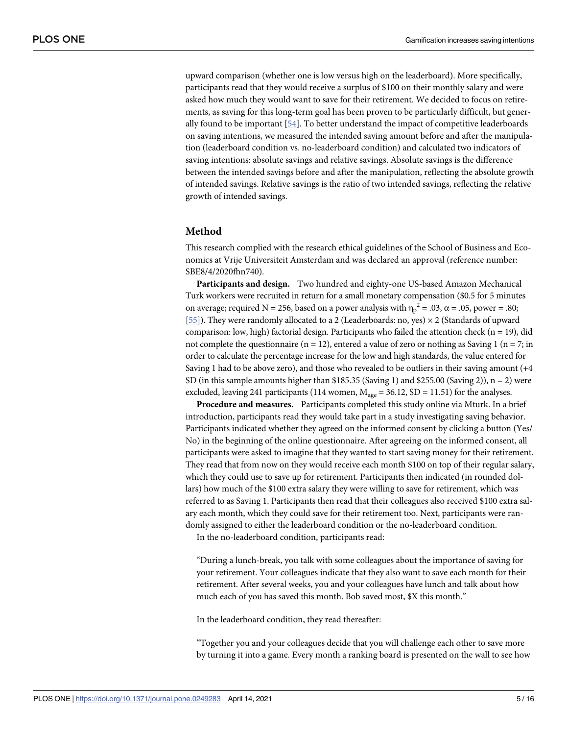<span id="page-4-0"></span>upward comparison (whether one is low versus high on the leaderboard). More specifically, participants read that they would receive a surplus of \$100 on their monthly salary and were asked how much they would want to save for their retirement. We decided to focus on retirements, as saving for this long-term goal has been proven to be particularly difficult, but generally found to be important [\[54\]](#page-15-0). To better understand the impact of competitive leaderboards on saving intentions, we measured the intended saving amount before and after the manipulation (leaderboard condition vs. no-leaderboard condition) and calculated two indicators of saving intentions: absolute savings and relative savings. Absolute savings is the difference between the intended savings before and after the manipulation, reflecting the absolute growth of intended savings. Relative savings is the ratio of two intended savings, reflecting the relative growth of intended savings.

#### **Method**

This research complied with the research ethical guidelines of the School of Business and Economics at Vrije Universiteit Amsterdam and was declared an approval (reference number: SBE8/4/2020fhn740).

**Participants and design.** Two hundred and eighty-one US-based Amazon Mechanical Turk workers were recruited in return for a small monetary compensation (\$0.5 for 5 minutes on average; required N = 256, based on a power analysis with  $\eta_p^2 = .03$ ,  $\alpha = .05$ , power = .80; [\[55\]](#page-15-0)). They were randomly allocated to a 2 (Leaderboards: no, yes)  $\times$  2 (Standards of upward comparison: low, high) factorial design. Participants who failed the attention check ( $n = 19$ ), did not complete the questionnaire ( $n = 12$ ), entered a value of zero or nothing as Saving 1 ( $n = 7$ ; in order to calculate the percentage increase for the low and high standards, the value entered for Saving 1 had to be above zero), and those who revealed to be outliers in their saving amount (+4 SD (in this sample amounts higher than \$185.35 (Saving 1) and \$255.00 (Saving 2)),  $n = 2$ ) were excluded, leaving 241 participants (114 women,  $M_{\text{age}} = 36.12$ , SD = 11.51) for the analyses.

**Procedure and measures.** Participants completed this study online via Mturk. In a brief introduction, participants read they would take part in a study investigating saving behavior. Participants indicated whether they agreed on the informed consent by clicking a button (Yes/ No) in the beginning of the online questionnaire. After agreeing on the informed consent, all participants were asked to imagine that they wanted to start saving money for their retirement. They read that from now on they would receive each month \$100 on top of their regular salary, which they could use to save up for retirement. Participants then indicated (in rounded dollars) how much of the \$100 extra salary they were willing to save for retirement, which was referred to as Saving 1. Participants then read that their colleagues also received \$100 extra salary each month, which they could save for their retirement too. Next, participants were randomly assigned to either the leaderboard condition or the no-leaderboard condition.

In the no-leaderboard condition, participants read:

"During a lunch-break, you talk with some colleagues about the importance of saving for your retirement. Your colleagues indicate that they also want to save each month for their retirement. After several weeks, you and your colleagues have lunch and talk about how much each of you has saved this month. Bob saved most, \$X this month."

In the leaderboard condition, they read thereafter:

"Together you and your colleagues decide that you will challenge each other to save more by turning it into a game. Every month a ranking board is presented on the wall to see how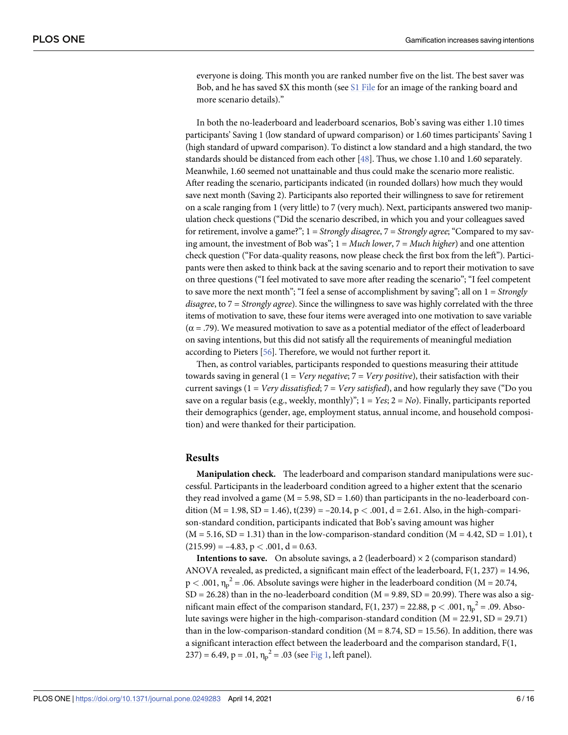<span id="page-5-0"></span>everyone is doing. This month you are ranked number five on the list. The best saver was Bob, and he has saved \$X this month (see S1 [File](#page-12-0) for an image of the ranking board and more scenario details)."

In both the no-leaderboard and leaderboard scenarios, Bob's saving was either 1.10 times participants' Saving 1 (low standard of upward comparison) or 1.60 times participants' Saving 1 (high standard of upward comparison). To distinct a low standard and a high standard, the two standards should be distanced from each other [[48](#page-15-0)]. Thus, we chose 1.10 and 1.60 separately. Meanwhile, 1.60 seemed not unattainable and thus could make the scenario more realistic. After reading the scenario, participants indicated (in rounded dollars) how much they would save next month (Saving 2). Participants also reported their willingness to save for retirement on a scale ranging from 1 (very little) to 7 (very much). Next, participants answered two manipulation check questions ("Did the scenario described, in which you and your colleagues saved for retirement, involve a game?"; 1 = *Strongly disagree*, 7 = *Strongly agree*; "Compared to my saving amount, the investment of Bob was"; 1 = *Much lower*, 7 = *Much higher*) and one attention check question ("For data-quality reasons, now please check the first box from the left"). Participants were then asked to think back at the saving scenario and to report their motivation to save on three questions ("I feel motivated to save more after reading the scenario"; "I feel competent to save more the next month"; "I feel a sense of accomplishment by saving"; all on 1 = *Strongly disagree*, to 7 = *Strongly agree*). Since the willingness to save was highly correlated with the three items of motivation to save, these four items were averaged into one motivation to save variable  $(\alpha = .79)$ . We measured motivation to save as a potential mediator of the effect of leaderboard on saving intentions, but this did not satisfy all the requirements of meaningful mediation according to Pieters [[56\]](#page-15-0). Therefore, we would not further report it.

Then, as control variables, participants responded to questions measuring their attitude towards saving in general (1 = *Very negative*; 7 = *Very positive*), their satisfaction with their current savings (1 = *Very dissatisfied*; 7 = *Very satisfied*), and how regularly they save ("Do you save on a regular basis (e.g., weekly, monthly)"; 1 = *Yes*; 2 = *No*). Finally, participants reported their demographics (gender, age, employment status, annual income, and household composition) and were thanked for their participation.

#### **Results**

**Manipulation check.** The leaderboard and comparison standard manipulations were successful. Participants in the leaderboard condition agreed to a higher extent that the scenario they read involved a game ( $M = 5.98$ ,  $SD = 1.60$ ) than participants in the no-leaderboard condition ( $M = 1.98$ ,  $SD = 1.46$ ),  $t(239) = -20.14$ ,  $p < .001$ ,  $d = 2.61$ . Also, in the high-comparison-standard condition, participants indicated that Bob's saving amount was higher  $(M = 5.16, SD = 1.31)$  than in the low-comparison-standard condition  $(M = 4.42, SD = 1.01)$ , t  $(215.99) = -4.83$ ,  $p < .001$ ,  $d = 0.63$ .

**Intentions to save.** On absolute savings, a 2 (leaderboard)  $\times$  2 (comparison standard) ANOVA revealed, as predicted, a significant main effect of the leaderboard,  $F(1, 237) = 14.96$ ,  $p < .001$ ,  $\eta_p^2 = .06$ . Absolute savings were higher in the leaderboard condition (M = 20.74,  $SD = 26.28$ ) than in the no-leaderboard condition ( $M = 9.89$ ,  $SD = 20.99$ ). There was also a significant main effect of the comparison standard,  $F(1, 237) = 22.88$ , p < .001,  $\eta_p^2 = .09$ . Absolute savings were higher in the high-comparison-standard condition  $(M = 22.91, SD = 29.71)$ than in the low-comparison-standard condition ( $M = 8.74$ , SD = 15.56). In addition, there was a significant interaction effect between the leaderboard and the comparison standard, F(1, 237) = 6.49, p = .01,  $\eta_p^2$  = .03 (see <u>[Fig](#page-6-0) 1,</u> left panel).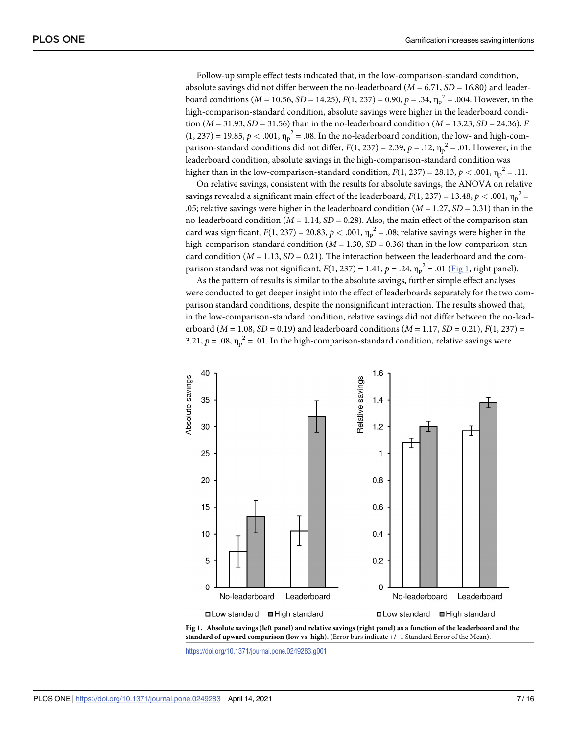<span id="page-6-0"></span>Follow-up simple effect tests indicated that, in the low-comparison-standard condition, absolute savings did not differ between the no-leaderboard ( $M = 6.71$ ,  $SD = 16.80$ ) and leaderboard conditions (*M* = 10.56, *SD* = 14.25), *F*(1, 237) = 0.90, *p* = .34,  $\eta_p^2$  = .004. However, in the high-comparison-standard condition, absolute savings were higher in the leaderboard condition (*M* = 31.93, *SD* = 31.56) than in the no-leaderboard condition (*M* = 13.23, *SD* = 24.36), *F*  $(1, 237) = 19.85, p < .001, \eta_p^2 = .08$ . In the no-leaderboard condition, the low- and high-comparison-standard conditions did not differ,  $F(1, 237) = 2.39$ ,  $p = .12$ ,  $v_p^2 = .01$ . However, in the leaderboard condition, absolute savings in the high-comparison-standard condition was higher than in the low-comparison-standard condition,  $F(1, 237) = 28.13$ ,  $p < .001$ ,  $\eta_p^2 = .11$ .

On relative savings, consistent with the results for absolute savings, the ANOVA on relative savings revealed a significant main effect of the leaderboard,  $F(1, 237) = 13.48$ ,  $p < .001$ ,  $\eta_p^2 =$ .05; relative savings were higher in the leaderboard condition (*M* = 1.27, *SD* = 0.31) than in the no-leaderboard condition ( $M = 1.14$ ,  $SD = 0.28$ ). Also, the main effect of the comparison standard was significant,  $F(1, 237) = 20.83$ ,  $p < .001$ ,  $\eta_p^2 = .08$ ; relative savings were higher in the high-comparison-standard condition ( $M = 1.30$ ,  $SD = 0.36$ ) than in the low-comparison-standard condition ( $M = 1.13$ ,  $SD = 0.21$ ). The interaction between the leaderboard and the comparison standard was not significant,  $F(1, 237) = 1.41$ ,  $p = .24$ ,  $\eta_p^2 = .01$  (Fig 1, right panel).

As the pattern of results is similar to the absolute savings, further simple effect analyses were conducted to get deeper insight into the effect of leaderboards separately for the two comparison standard conditions, despite the nonsignificant interaction. The results showed that, in the low-comparison-standard condition, relative savings did not differ between the no-leaderboard (*M* = 1.08, *SD* = 0.19) and leaderboard conditions (*M* = 1.17, *SD* = 0.21), *F*(1, 237) = 3.21,  $p = .08$ ,  $\eta_p^2 = .01$ . In the high-comparison-standard condition, relative savings were





<https://doi.org/10.1371/journal.pone.0249283.g001>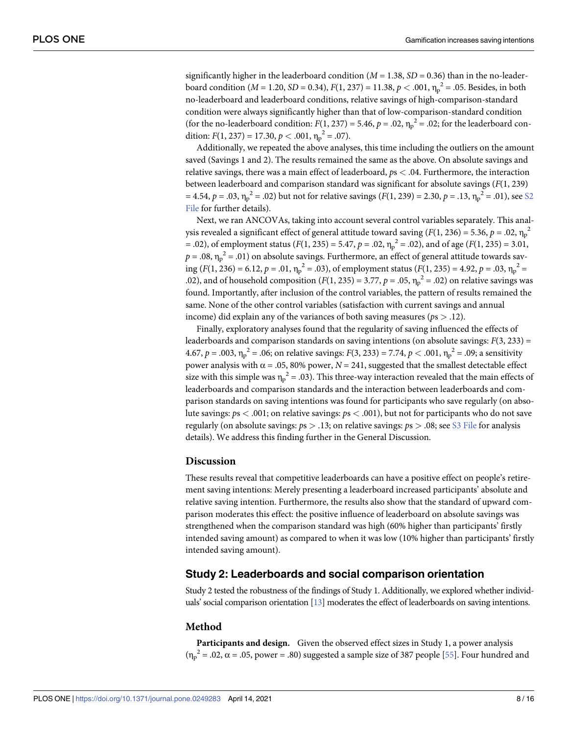significantly higher in the leaderboard condition ( $M = 1.38$ ,  $SD = 0.36$ ) than in the no-leaderboard condition (*M* = 1.20, *SD* = 0.34), *F*(1, 237) = 11.38, *p* < .001,  $\eta_p^2$  = .05. Besides, in both no-leaderboard and leaderboard conditions, relative savings of high-comparison-standard condition were always significantly higher than that of low-comparison-standard condition (for the no-leaderboard condition:  $F(1, 237) = 5.46$ ,  $p = .02$ ,  $\eta_p^2 = .02$ ; for the leaderboard condition:  $F(1, 237) = 17.30, p < .001, \eta_p^2 = .07$ .

Additionally, we repeated the above analyses, this time including the outliers on the amount saved (Savings 1 and 2). The results remained the same as the above. On absolute savings and relative savings, there was a main effect of leaderboard, *p*s *<* .04. Furthermore, the interaction between leaderboard and comparison standard was significant for absolute savings (*F*(1, 239) = 4.54, *p* = .03,  $\eta_p^2$  = .02) but not for relative savings (*F*(1, 239) = 2.30, *p* = .13,  $\eta_p^2$  = .01), see <u>\$2</u> [File](#page-13-0) for further details).

Next, we ran ANCOVAs, taking into account several control variables separately. This analysis revealed a significant effect of general attitude toward saving  $(F(1, 236) = 5.36, p = .02, \eta_p^2)$ = .02), of employment status ( $F(1, 235) = 5.47$ ,  $p = .02$ ,  $v_{\text{lp}}^2 = .02$ ), and of age ( $F(1, 235) = 3.01$ ,  $p = .08$ ,  $\eta_p^2 = .01$ ) on absolute savings. Furthermore, an effect of general attitude towards saving  $(F(1, 236) = 6.12, p = .01, \eta_p^2 = .03)$ , of employment status  $(F(1, 235) = 4.92, p = .03, \eta_p^2 = .03)$ .02), and of household composition  $(F(1, 235) = 3.77, p = .05, \eta_p^2 = .02)$  on relative savings was found. Importantly, after inclusion of the control variables, the pattern of results remained the same. None of the other control variables (satisfaction with current savings and annual income) did explain any of the variances of both saving measures (*p*s *>* .12).

Finally, exploratory analyses found that the regularity of saving influenced the effects of leaderboards and comparison standards on saving intentions (on absolute savings: *F*(3, 233) = 4.67,  $p = .003$ ,  $\eta_p^2 = .06$ ; on relative savings:  $F(3, 233) = 7.74$ ,  $p < .001$ ,  $\eta_p^2 = .09$ ; a sensitivity power analysis with  $α = .05, 80%$  power,  $N = 241$ , suggested that the smallest detectable effect size with this simple was  $\eta_p^2 = .03$ ). This three-way interaction revealed that the main effects of leaderboards and comparison standards and the interaction between leaderboards and comparison standards on saving intentions was found for participants who save regularly (on absolute savings: *p*s *<* .001; on relative savings: *p*s *<* .001), but not for participants who do not save regularly (on absolute savings: *p*s *>* .13; on relative savings: *p*s *>* .08; see S3 [File](#page-13-0) for analysis details). We address this finding further in the General Discussion.

#### **Discussion**

These results reveal that competitive leaderboards can have a positive effect on people's retirement saving intentions: Merely presenting a leaderboard increased participants' absolute and relative saving intention. Furthermore, the results also show that the standard of upward comparison moderates this effect: the positive influence of leaderboard on absolute savings was strengthened when the comparison standard was high (60% higher than participants' firstly intended saving amount) as compared to when it was low (10% higher than participants' firstly intended saving amount).

# **Study 2: Leaderboards and social comparison orientation**

Study 2 tested the robustness of the findings of Study 1. Additionally, we explored whether individuals' social comparison orientation [\[13](#page-14-0)] moderates the effect of leaderboards on saving intentions.

#### **Method**

**Participants and design.** Given the observed effect sizes in Study 1, a power analysis  ${(\eta_p}^2 = .02, \alpha = .05, power = .80)$  suggested a sample size of 387 people [[55](#page-15-0)]. Four hundred and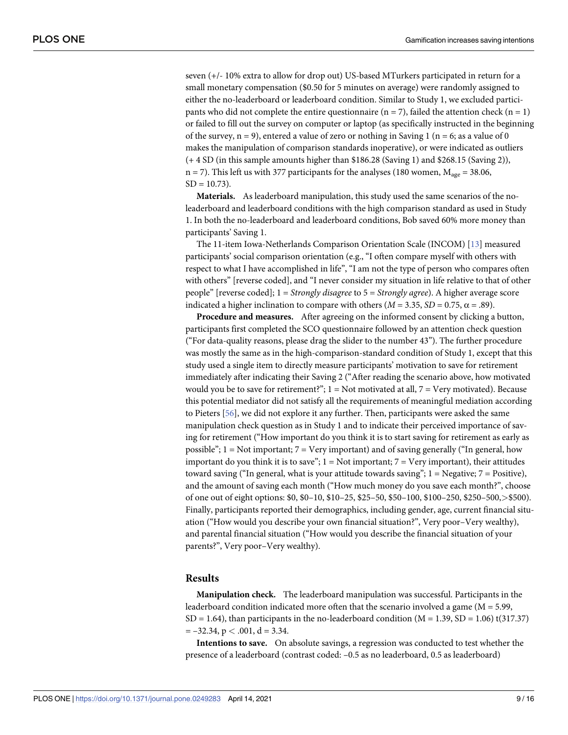seven (+/- 10% extra to allow for drop out) US-based MTurkers participated in return for a small monetary compensation (\$0.50 for 5 minutes on average) were randomly assigned to either the no-leaderboard or leaderboard condition. Similar to Study 1, we excluded participants who did not complete the entire questionnaire ( $n = 7$ ), failed the attention check ( $n = 1$ ) or failed to fill out the survey on computer or laptop (as specifically instructed in the beginning of the survey,  $n = 9$ ), entered a value of zero or nothing in Saving 1 ( $n = 6$ ; as a value of 0 makes the manipulation of comparison standards inoperative), or were indicated as outliers (+ 4 SD (in this sample amounts higher than \$186.28 (Saving 1) and \$268.15 (Saving 2)),  $n = 7$ ). This left us with 377 participants for the analyses (180 women,  $M_{\text{age}} = 38.06$ ,  $SD = 10.73$ ).

**Materials.** As leaderboard manipulation, this study used the same scenarios of the noleaderboard and leaderboard conditions with the high comparison standard as used in Study 1. In both the no-leaderboard and leaderboard conditions, Bob saved 60% more money than participants' Saving 1.

The 11-item Iowa-Netherlands Comparison Orientation Scale (INCOM) [\[13\]](#page-14-0) measured participants' social comparison orientation (e.g., "I often compare myself with others with respect to what I have accomplished in life", "I am not the type of person who compares often with others" [reverse coded], and "I never consider my situation in life relative to that of other people" [reverse coded]; 1 = *Strongly disagree* to 5 = *Strongly agree*). A higher average score indicated a higher inclination to compare with others  $(M = 3.35, SD = 0.75, \alpha = .89)$ .

**Procedure and measures.** After agreeing on the informed consent by clicking a button, participants first completed the SCO questionnaire followed by an attention check question ("For data-quality reasons, please drag the slider to the number 43"). The further procedure was mostly the same as in the high-comparison-standard condition of Study 1, except that this study used a single item to directly measure participants' motivation to save for retirement immediately after indicating their Saving 2 ("After reading the scenario above, how motivated would you be to save for retirement?";  $1 = Not$  motivated at all,  $7 = Very$  motivated). Because this potential mediator did not satisfy all the requirements of meaningful mediation according to Pieters [[56](#page-15-0)], we did not explore it any further. Then, participants were asked the same manipulation check question as in Study 1 and to indicate their perceived importance of saving for retirement ("How important do you think it is to start saving for retirement as early as possible"; 1 = Not important; 7 = Very important) and of saving generally ("In general, how important do you think it is to save";  $1 = Not$  important;  $7 = Very$  important), their attitudes toward saving ("In general, what is your attitude towards saving"; 1 = Negative; 7 = Positive), and the amount of saving each month ("How much money do you save each month?", choose of one out of eight options: \$0, \$0–10, \$10–25, \$25–50, \$50–100, \$100–250, \$250–500,*>*\$500). Finally, participants reported their demographics, including gender, age, current financial situation ("How would you describe your own financial situation?", Very poor–Very wealthy), and parental financial situation ("How would you describe the financial situation of your parents?", Very poor–Very wealthy).

#### **Results**

**Manipulation check.** The leaderboard manipulation was successful. Participants in the leaderboard condition indicated more often that the scenario involved a game ( $M = 5.99$ ,  $SD = 1.64$ ), than participants in the no-leaderboard condition ( $M = 1.39$ ,  $SD = 1.06$ ) t(317.37)  $= -32.34$ ,  $p < .001$ ,  $d = 3.34$ .

**Intentions to save.** On absolute savings, a regression was conducted to test whether the presence of a leaderboard (contrast coded: –0.5 as no leaderboard, 0.5 as leaderboard)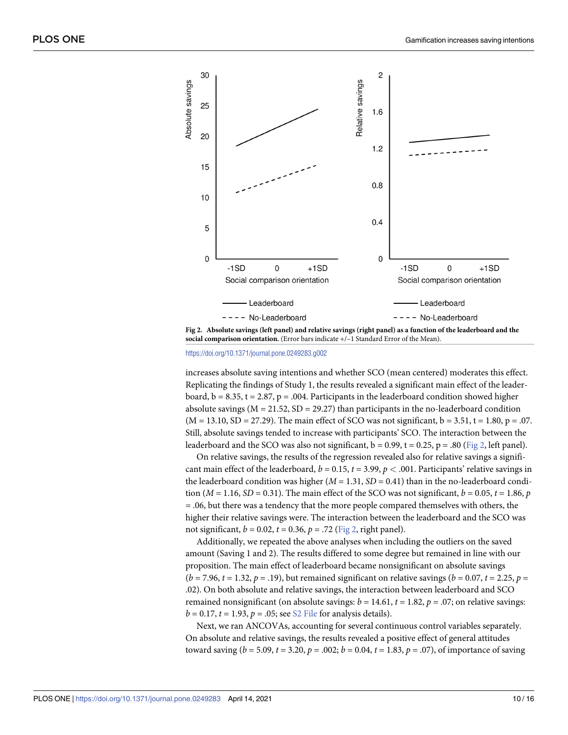

Fig 2. Absolute savings (left panel) and relative savings (right panel) as a function of the leaderboard and the **social comparison orientation.** (Error bars indicate +/–1 Standard Error of the Mean).

<https://doi.org/10.1371/journal.pone.0249283.g002>

increases absolute saving intentions and whether SCO (mean centered) moderates this effect. Replicating the findings of Study 1, the results revealed a significant main effect of the leaderboard,  $b = 8.35$ ,  $t = 2.87$ ,  $p = .004$ . Participants in the leaderboard condition showed higher absolute savings ( $M = 21.52$ ,  $SD = 29.27$ ) than participants in the no-leaderboard condition  $(M = 13.10, SD = 27.29)$ . The main effect of SCO was not significant,  $b = 3.51$ ,  $t = 1.80$ ,  $p = .07$ . Still, absolute savings tended to increase with participants' SCO. The interaction between the leaderboard and the SCO was also not significant,  $b = 0.99$ ,  $t = 0.25$ ,  $p = .80$  (Fig 2, left panel).

On relative savings, the results of the regression revealed also for relative savings a significant main effect of the leaderboard,  $b = 0.15$ ,  $t = 3.99$ ,  $p < .001$ . Participants' relative savings in the leaderboard condition was higher  $(M = 1.31, SD = 0.41)$  than in the no-leaderboard condition ( $M = 1.16$ ,  $SD = 0.31$ ). The main effect of the SCO was not significant,  $b = 0.05$ ,  $t = 1.86$ ,  $p$  $=$  .06, but there was a tendency that the more people compared themselves with others, the higher their relative savings were. The interaction between the leaderboard and the SCO was not significant,  $b = 0.02$ ,  $t = 0.36$ ,  $p = .72$  (Fig 2, right panel).

Additionally, we repeated the above analyses when including the outliers on the saved amount (Saving 1 and 2). The results differed to some degree but remained in line with our proposition. The main effect of leaderboard became nonsignificant on absolute savings  $(b = 7.96, t = 1.32, p = .19)$ , but remained significant on relative savings  $(b = 0.07, t = 2.25, p = .19)$ .02). On both absolute and relative savings, the interaction between leaderboard and SCO remained nonsignificant (on absolute savings:  $b = 14.61$ ,  $t = 1.82$ ,  $p = .07$ ; on relative savings:  $b = 0.17$ ,  $t = 1.93$ ,  $p = .05$ ; see S<sub>2</sub> [File](#page-13-0) for analysis details).

Next, we ran ANCOVAs, accounting for several continuous control variables separately. On absolute and relative savings, the results revealed a positive effect of general attitudes toward saving  $(b = 5.09, t = 3.20, p = .002; b = 0.04, t = 1.83, p = .07)$ , of importance of saving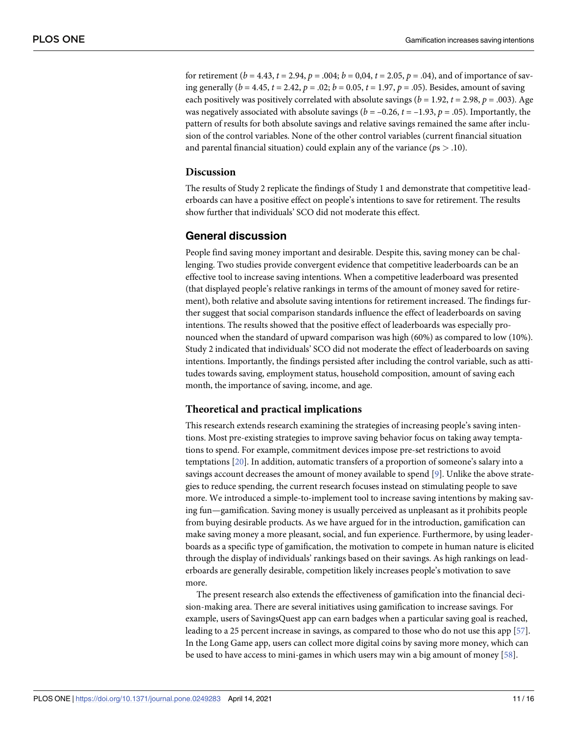<span id="page-10-0"></span>for retirement ( $b = 4.43$ ,  $t = 2.94$ ,  $p = .004$ ;  $b = 0.04$ ,  $t = 2.05$ ,  $p = .04$ ), and of importance of saving generally (*b* = 4.45, *t* = 2.42, *p* = .02; *b* = 0.05, *t* = 1.97, *p* = .05). Besides, amount of saving each positively was positively correlated with absolute savings ( $b = 1.92$ ,  $t = 2.98$ ,  $p = .003$ ). Age was negatively associated with absolute savings ( $b = -0.26$ ,  $t = -1.93$ ,  $p = .05$ ). Importantly, the pattern of results for both absolute savings and relative savings remained the same after inclusion of the control variables. None of the other control variables (current financial situation and parental financial situation) could explain any of the variance (*p*s *>* .10).

#### **Discussion**

The results of Study 2 replicate the findings of Study 1 and demonstrate that competitive leaderboards can have a positive effect on people's intentions to save for retirement. The results show further that individuals' SCO did not moderate this effect.

# **General discussion**

People find saving money important and desirable. Despite this, saving money can be challenging. Two studies provide convergent evidence that competitive leaderboards can be an effective tool to increase saving intentions. When a competitive leaderboard was presented (that displayed people's relative rankings in terms of the amount of money saved for retirement), both relative and absolute saving intentions for retirement increased. The findings further suggest that social comparison standards influence the effect of leaderboards on saving intentions. The results showed that the positive effect of leaderboards was especially pronounced when the standard of upward comparison was high (60%) as compared to low (10%). Study 2 indicated that individuals' SCO did not moderate the effect of leaderboards on saving intentions. Importantly, the findings persisted after including the control variable, such as attitudes towards saving, employment status, household composition, amount of saving each month, the importance of saving, income, and age.

#### **Theoretical and practical implications**

This research extends research examining the strategies of increasing people's saving intentions. Most pre-existing strategies to improve saving behavior focus on taking away temptations to spend. For example, commitment devices impose pre-set restrictions to avoid temptations [\[20\]](#page-14-0). In addition, automatic transfers of a proportion of someone's salary into a savings account decreases the amount of money available to spend [[9](#page-13-0)]. Unlike the above strategies to reduce spending, the current research focuses instead on stimulating people to save more. We introduced a simple-to-implement tool to increase saving intentions by making saving fun—gamification. Saving money is usually perceived as unpleasant as it prohibits people from buying desirable products. As we have argued for in the introduction, gamification can make saving money a more pleasant, social, and fun experience. Furthermore, by using leaderboards as a specific type of gamification, the motivation to compete in human nature is elicited through the display of individuals' rankings based on their savings. As high rankings on leaderboards are generally desirable, competition likely increases people's motivation to save more.

The present research also extends the effectiveness of gamification into the financial decision-making area. There are several initiatives using gamification to increase savings. For example, users of SavingsQuest app can earn badges when a particular saving goal is reached, leading to a 25 percent increase in savings, as compared to those who do not use this app [[57](#page-15-0)]. In the Long Game app, users can collect more digital coins by saving more money, which can be used to have access to mini-games in which users may win a big amount of money [\[58\]](#page-15-0).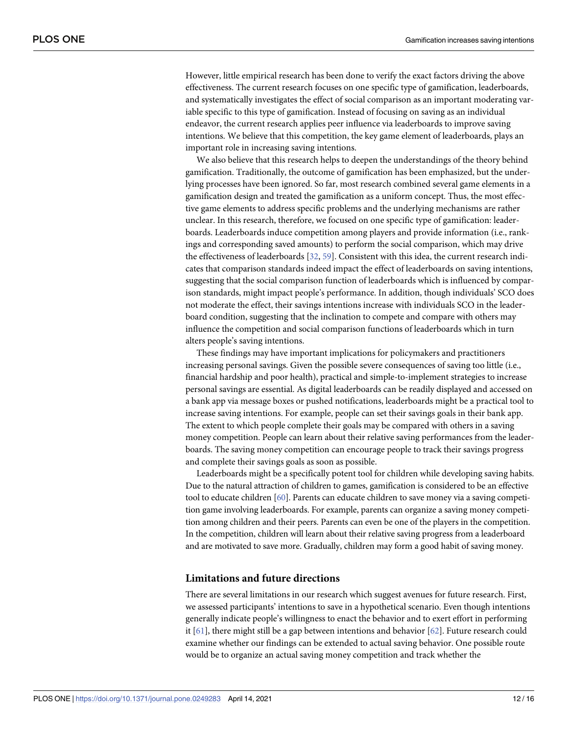<span id="page-11-0"></span>However, little empirical research has been done to verify the exact factors driving the above effectiveness. The current research focuses on one specific type of gamification, leaderboards, and systematically investigates the effect of social comparison as an important moderating variable specific to this type of gamification. Instead of focusing on saving as an individual endeavor, the current research applies peer influence via leaderboards to improve saving intentions. We believe that this competition, the key game element of leaderboards, plays an important role in increasing saving intentions.

We also believe that this research helps to deepen the understandings of the theory behind gamification. Traditionally, the outcome of gamification has been emphasized, but the underlying processes have been ignored. So far, most research combined several game elements in a gamification design and treated the gamification as a uniform concept. Thus, the most effective game elements to address specific problems and the underlying mechanisms are rather unclear. In this research, therefore, we focused on one specific type of gamification: leaderboards. Leaderboards induce competition among players and provide information (i.e., rankings and corresponding saved amounts) to perform the social comparison, which may drive the effectiveness of leaderboards [[32](#page-14-0), [59](#page-15-0)]. Consistent with this idea, the current research indicates that comparison standards indeed impact the effect of leaderboards on saving intentions, suggesting that the social comparison function of leaderboards which is influenced by comparison standards, might impact people's performance. In addition, though individuals' SCO does not moderate the effect, their savings intentions increase with individuals SCO in the leaderboard condition, suggesting that the inclination to compete and compare with others may influence the competition and social comparison functions of leaderboards which in turn alters people's saving intentions.

These findings may have important implications for policymakers and practitioners increasing personal savings. Given the possible severe consequences of saving too little (i.e., financial hardship and poor health), practical and simple-to-implement strategies to increase personal savings are essential. As digital leaderboards can be readily displayed and accessed on a bank app via message boxes or pushed notifications, leaderboards might be a practical tool to increase saving intentions. For example, people can set their savings goals in their bank app. The extent to which people complete their goals may be compared with others in a saving money competition. People can learn about their relative saving performances from the leaderboards. The saving money competition can encourage people to track their savings progress and complete their savings goals as soon as possible.

Leaderboards might be a specifically potent tool for children while developing saving habits. Due to the natural attraction of children to games, gamification is considered to be an effective tool to educate children [\[60\]](#page-15-0). Parents can educate children to save money via a saving competition game involving leaderboards. For example, parents can organize a saving money competition among children and their peers. Parents can even be one of the players in the competition. In the competition, children will learn about their relative saving progress from a leaderboard and are motivated to save more. Gradually, children may form a good habit of saving money.

# **Limitations and future directions**

There are several limitations in our research which suggest avenues for future research. First, we assessed participants' intentions to save in a hypothetical scenario. Even though intentions generally indicate people's willingness to enact the behavior and to exert effort in performing it [\[61\]](#page-15-0), there might still be a gap between intentions and behavior [\[62\]](#page-15-0). Future research could examine whether our findings can be extended to actual saving behavior. One possible route would be to organize an actual saving money competition and track whether the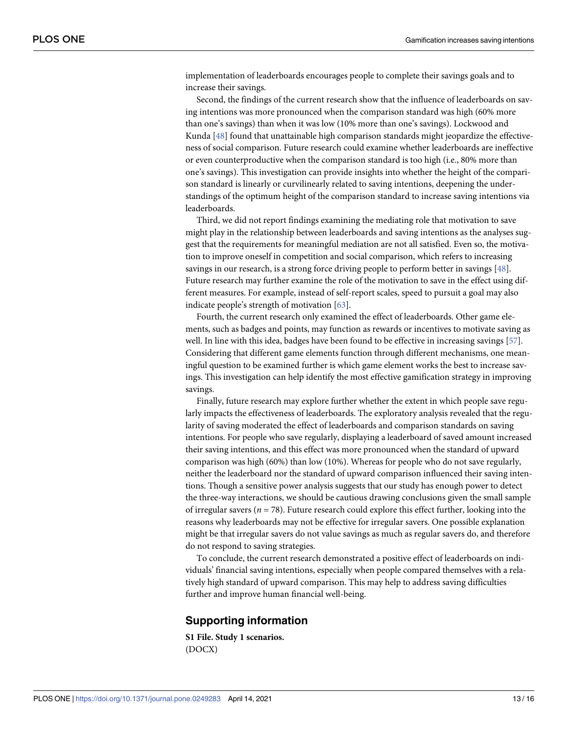<span id="page-12-0"></span>implementation of leaderboards encourages people to complete their savings goals and to increase their savings.

Second, the findings of the current research show that the influence of leaderboards on saving intentions was more pronounced when the comparison standard was high (60% more than one's savings) than when it was low (10% more than one's savings). Lockwood and Kunda [[48](#page-15-0)] found that unattainable high comparison standards might jeopardize the effectiveness of social comparison. Future research could examine whether leaderboards are ineffective or even counterproductive when the comparison standard is too high (i.e., 80% more than one's savings). This investigation can provide insights into whether the height of the comparison standard is linearly or curvilinearly related to saving intentions, deepening the understandings of the optimum height of the comparison standard to increase saving intentions via leaderboards.

Third, we did not report findings examining the mediating role that motivation to save might play in the relationship between leaderboards and saving intentions as the analyses suggest that the requirements for meaningful mediation are not all satisfied. Even so, the motivation to improve oneself in competition and social comparison, which refers to increasing savings in our research, is a strong force driving people to perform better in savings [\[48\]](#page-15-0). Future research may further examine the role of the motivation to save in the effect using different measures. For example, instead of self-report scales, speed to pursuit a goal may also indicate people's strength of motivation [\[63\]](#page-15-0).

Fourth, the current research only examined the effect of leaderboards. Other game elements, such as badges and points, may function as rewards or incentives to motivate saving as well. In line with this idea, badges have been found to be effective in increasing savings [[57](#page-15-0)]. Considering that different game elements function through different mechanisms, one meaningful question to be examined further is which game element works the best to increase savings. This investigation can help identify the most effective gamification strategy in improving savings.

Finally, future research may explore further whether the extent in which people save regularly impacts the effectiveness of leaderboards. The exploratory analysis revealed that the regularity of saving moderated the effect of leaderboards and comparison standards on saving intentions. For people who save regularly, displaying a leaderboard of saved amount increased their saving intentions, and this effect was more pronounced when the standard of upward comparison was high (60%) than low (10%). Whereas for people who do not save regularly, neither the leaderboard nor the standard of upward comparison influenced their saving intentions. Though a sensitive power analysis suggests that our study has enough power to detect the three-way interactions, we should be cautious drawing conclusions given the small sample of irregular savers ( $n = 78$ ). Future research could explore this effect further, looking into the reasons why leaderboards may not be effective for irregular savers. One possible explanation might be that irregular savers do not value savings as much as regular savers do, and therefore do not respond to saving strategies.

To conclude, the current research demonstrated a positive effect of leaderboards on individuals' financial saving intentions, especially when people compared themselves with a relatively high standard of upward comparison. This may help to address saving difficulties further and improve human financial well-being.

# **Supporting information**

**S1 [File.](http://www.plosone.org/article/fetchSingleRepresentation.action?uri=info:doi/10.1371/journal.pone.0249283.s001) Study 1 scenarios.** (DOCX)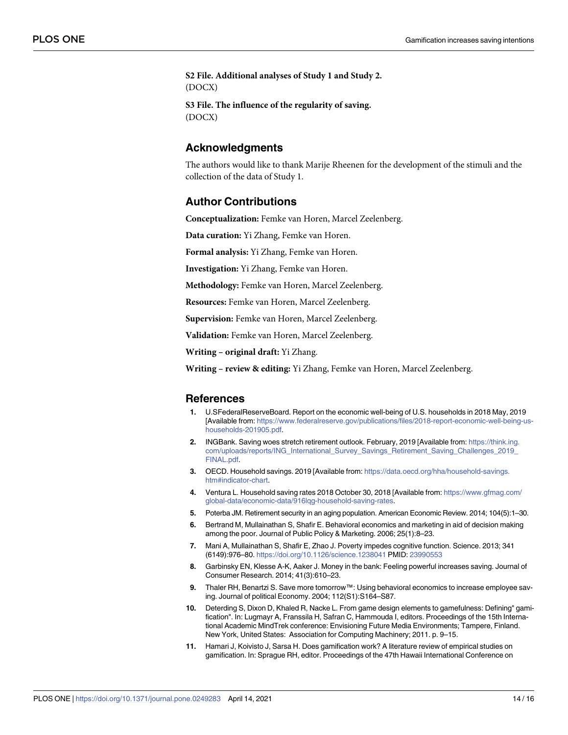<span id="page-13-0"></span>**S2 [File.](http://www.plosone.org/article/fetchSingleRepresentation.action?uri=info:doi/10.1371/journal.pone.0249283.s002) Additional analyses of Study 1 and Study 2.** (DOCX)

**S3 [File.](http://www.plosone.org/article/fetchSingleRepresentation.action?uri=info:doi/10.1371/journal.pone.0249283.s003) The influence of the regularity of saving.** (DOCX)

# **Acknowledgments**

The authors would like to thank Marije Rheenen for the development of the stimuli and the collection of the data of Study 1.

# **Author Contributions**

**Conceptualization:** Femke van Horen, Marcel Zeelenberg.

**Data curation:** Yi Zhang, Femke van Horen.

**Formal analysis:** Yi Zhang, Femke van Horen.

**Investigation:** Yi Zhang, Femke van Horen.

**Methodology:** Femke van Horen, Marcel Zeelenberg.

**Resources:** Femke van Horen, Marcel Zeelenberg.

**Supervision:** Femke van Horen, Marcel Zeelenberg.

**Validation:** Femke van Horen, Marcel Zeelenberg.

**Writing – original draft:** Yi Zhang.

**Writing – review & editing:** Yi Zhang, Femke van Horen, Marcel Zeelenberg.

# **References**

- **[1](#page-0-0).** U.SFederalReserveBoard. Report on the economic well-being of U.S. households in 2018 May, 2019 [Available from: [https://www.federalreserve.gov/publications/files/2018-report-economic-well-being-us](https://www.federalreserve.gov/publications/files/2018-report-economic-well-being-us-households-201905.pdf)[households-201905.pdf.](https://www.federalreserve.gov/publications/files/2018-report-economic-well-being-us-households-201905.pdf)
- **[2](#page-0-0).** INGBank. Saving woes stretch retirement outlook. February, 2019 [Available from: [https://think.ing.](https://think.ing.com/uploads/reports/ING_International_Survey_Savings_Retirement_Saving_Challenges_2019_FINAL.pdf) [com/uploads/reports/ING\\_International\\_Survey\\_Savings\\_Retirement\\_Saving\\_Challenges\\_2019\\_](https://think.ing.com/uploads/reports/ING_International_Survey_Savings_Retirement_Saving_Challenges_2019_FINAL.pdf) [FINAL.pdf](https://think.ing.com/uploads/reports/ING_International_Survey_Savings_Retirement_Saving_Challenges_2019_FINAL.pdf).
- **[3](#page-0-0).** OECD. Household savings. 2019 [Available from: [https://data.oecd.org/hha/household-savings.](https://data.oecd.org/hha/household-savings.htm#indicator-chart) [htm#indicator-chart.](https://data.oecd.org/hha/household-savings.htm#indicator-chart)
- **[4](#page-0-0).** Ventura L. Household saving rates 2018 October 30, 2018 [Available from: [https://www.gfmag.com/](https://www.gfmag.com/global-data/economic-data/916lqg-household-saving-rates) [global-data/economic-data/916lqg-household-saving-rates](https://www.gfmag.com/global-data/economic-data/916lqg-household-saving-rates).
- **[5](#page-0-0).** Poterba JM. Retirement security in an aging population. American Economic Review. 2014; 104(5):1–30.
- **[6](#page-1-0).** Bertrand M, Mullainathan S, Shafir E. Behavioral economics and marketing in aid of decision making among the poor. Journal of Public Policy & Marketing. 2006; 25(1):8–23.
- **[7](#page-1-0).** Mani A, Mullainathan S, Shafir E, Zhao J. Poverty impedes cognitive function. Science. 2013; 341 (6149):976–80. <https://doi.org/10.1126/science.1238041> PMID: [23990553](http://www.ncbi.nlm.nih.gov/pubmed/23990553)
- **[8](#page-1-0).** Garbinsky EN, Klesse A-K, Aaker J. Money in the bank: Feeling powerful increases saving. Journal of Consumer Research. 2014; 41(3):610–23.
- **[9](#page-1-0).** Thaler RH, Benartzi S. Save more tomorrow™: Using behavioral economics to increase employee saving. Journal of political Economy. 2004; 112(S1):S164–S87.
- **[10](#page-1-0).** Deterding S, Dixon D, Khaled R, Nacke L. From game design elements to gamefulness: Defining" gamification". In: Lugmayr A, Franssila H, Safran C, Hammouda I, editors. Proceedings of the 15th International Academic MindTrek conference: Envisioning Future Media Environments; Tampere, Finland. New York, United States: Association for Computing Machinery; 2011. p. 9–15.
- **[11](#page-2-0).** Hamari J, Koivisto J, Sarsa H. Does gamification work? A literature review of empirical studies on gamification. In: Sprague RH, editor. Proceedings of the 47th Hawaii International Conference on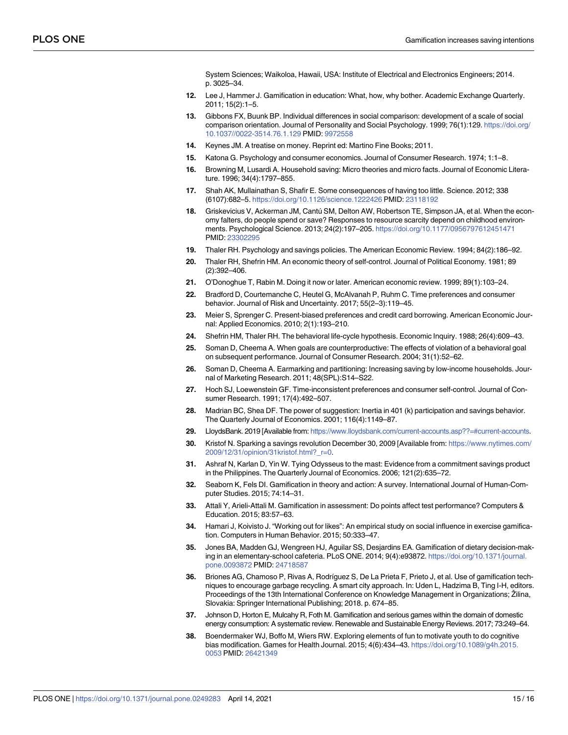System Sciences; Waikoloa, Hawaii, USA: Institute of Electrical and Electronics Engineers; 2014. p. 3025–34.

- <span id="page-14-0"></span>**[12](#page-1-0).** Lee J, Hammer J. Gamification in education: What, how, why bother. Academic Exchange Quarterly. 2011; 15(2):1–5.
- **[13](#page-1-0).** Gibbons FX, Buunk BP. Individual differences in social comparison: development of a scale of social comparison orientation. Journal of Personality and Social Psychology. 1999; 76(1):129. [https://doi.org/](https://doi.org/10.1037//0022-3514.76.1.129) [10.1037//0022-3514.76.1.129](https://doi.org/10.1037//0022-3514.76.1.129) PMID: [9972558](http://www.ncbi.nlm.nih.gov/pubmed/9972558)
- **[14](#page-1-0).** Keynes JM. A treatise on money. Reprint ed: Martino Fine Books; 2011.
- **[15](#page-1-0).** Katona G. Psychology and consumer economics. Journal of Consumer Research. 1974; 1:1–8.
- **[16](#page-1-0).** Browning M, Lusardi A. Household saving: Micro theories and micro facts. Journal of Economic Literature. 1996; 34(4):1797–855.
- **[17](#page-1-0).** Shah AK, Mullainathan S, Shafir E. Some consequences of having too little. Science. 2012; 338 (6107):682–5. <https://doi.org/10.1126/science.1222426> PMID: [23118192](http://www.ncbi.nlm.nih.gov/pubmed/23118192)
- **[18](#page-1-0).** Griskevicius V, Ackerman JM, Cantú SM, Delton AW, Robertson TE, Simpson JA, et al. When the economy falters, do people spend or save? Responses to resource scarcity depend on childhood environments. Psychological Science. 2013; 24(2):197–205. <https://doi.org/10.1177/0956797612451471> PMID: [23302295](http://www.ncbi.nlm.nih.gov/pubmed/23302295)
- **[19](#page-1-0).** Thaler RH. Psychology and savings policies. The American Economic Review. 1994; 84(2):186–92.
- **[20](#page-1-0).** Thaler RH, Shefrin HM. An economic theory of self-control. Journal of Political Economy. 1981; 89 (2):392–406.
- **[21](#page-1-0).** O'Donoghue T, Rabin M. Doing it now or later. American economic review. 1999; 89(1):103–24.
- **[22](#page-1-0).** Bradford D, Courtemanche C, Heutel G, McAlvanah P, Ruhm C. Time preferences and consumer behavior. Journal of Risk and Uncertainty. 2017; 55(2–3):119–45.
- **[23](#page-1-0).** Meier S, Sprenger C. Present-biased preferences and credit card borrowing. American Economic Journal: Applied Economics. 2010; 2(1):193–210.
- **[24](#page-1-0).** Shefrin HM, Thaler RH. The behavioral life-cycle hypothesis. Economic Inquiry. 1988; 26(4):609–43.
- **[25](#page-1-0).** Soman D, Cheema A. When goals are counterproductive: The effects of violation of a behavioral goal on subsequent performance. Journal of Consumer Research. 2004; 31(1):52–62.
- **[26](#page-1-0).** Soman D, Cheema A. Earmarking and partitioning: Increasing saving by low-income households. Journal of Marketing Research. 2011; 48(SPL):S14–S22.
- **[27](#page-1-0).** Hoch SJ, Loewenstein GF. Time-inconsistent preferences and consumer self-control. Journal of Consumer Research. 1991; 17(4):492–507.
- **[28](#page-1-0).** Madrian BC, Shea DF. The power of suggestion: Inertia in 401 (k) participation and savings behavior. The Quarterly Journal of Economics. 2001; 116(4):1149–87.
- **[29](#page-1-0).** LloydsBank. 2019 [Available from: [https://www.lloydsbank.com/current-accounts.asp??=#current-accounts.](https://www.lloydsbank.com/current-accounts.asp??=#current-accounts)
- **[30](#page-2-0).** Kristof N. Sparking a savings revolution December 30, 2009 [Available from: [https://www.nytimes.com/](https://www.nytimes.com/2009/12/31/opinion/31kristof.html?_r=0) [2009/12/31/opinion/31kristof.html?\\_r=0.](https://www.nytimes.com/2009/12/31/opinion/31kristof.html?_r=0)
- **[31](#page-2-0).** Ashraf N, Karlan D, Yin W. Tying Odysseus to the mast: Evidence from a commitment savings product in the Philippines. The Quarterly Journal of Economics. 2006; 121(2):635–72.
- **[32](#page-2-0).** Seaborn K, Fels DI. Gamification in theory and action: A survey. International Journal of Human-Computer Studies. 2015; 74:14–31.
- **[33](#page-2-0).** Attali Y, Arieli-Attali M. Gamification in assessment: Do points affect test performance? Computers & Education. 2015; 83:57–63.
- **[34](#page-2-0).** Hamari J, Koivisto J. "Working out for likes": An empirical study on social influence in exercise gamification. Computers in Human Behavior. 2015; 50:333–47.
- **[35](#page-2-0).** Jones BA, Madden GJ, Wengreen HJ, Aguilar SS, Desjardins EA. Gamification of dietary decision-making in an elementary-school cafeteria. PLoS ONE. 2014; 9(4):e93872. [https://doi.org/10.1371/journal.](https://doi.org/10.1371/journal.pone.0093872) [pone.0093872](https://doi.org/10.1371/journal.pone.0093872) PMID: [24718587](http://www.ncbi.nlm.nih.gov/pubmed/24718587)
- **[36](#page-2-0).** Briones AG, Chamoso P, Rivas A, Rodrı´guez S, De La Prieta F, Prieto J, et al. Use of gamification techniques to encourage garbage recycling. A smart city approach. In: Uden L, Hadzima B, Ting I-H, editors. Proceedings of the 13th International Conference on Knowledge Management in Organizations; Zilina, Slovakia: Springer International Publishing; 2018. p. 674–85.
- **[37](#page-2-0).** Johnson D, Horton E, Mulcahy R, Foth M. Gamification and serious games within the domain of domestic energy consumption: A systematic review. Renewable and Sustainable Energy Reviews. 2017; 73:249–64.
- **[38](#page-2-0).** Boendermaker WJ, Boffo M, Wiers RW. Exploring elements of fun to motivate youth to do cognitive bias modification. Games for Health Journal. 2015; 4(6):434–43. [https://doi.org/10.1089/g4h.2015.](https://doi.org/10.1089/g4h.2015.0053) [0053](https://doi.org/10.1089/g4h.2015.0053) PMID: [26421349](http://www.ncbi.nlm.nih.gov/pubmed/26421349)